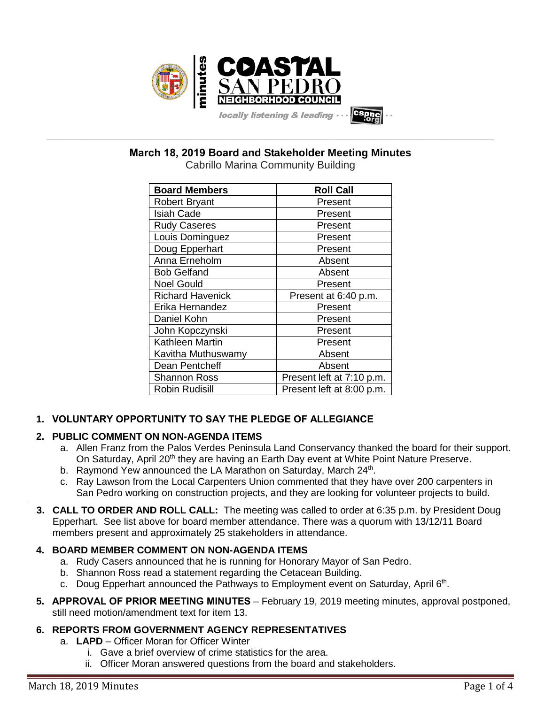

**March 18, 2019 Board and Stakeholder Meeting Minutes**

**\_\_\_\_\_\_\_\_\_\_\_\_\_\_\_\_\_\_\_\_\_\_\_\_\_\_\_\_\_\_\_\_\_\_\_\_\_\_\_\_\_\_\_\_\_\_\_\_\_\_\_\_\_\_\_\_\_\_\_\_\_\_\_\_\_\_\_\_\_\_\_\_\_\_\_\_\_\_\_\_\_\_\_\_\_\_\_\_\_\_\_\_\_\_\_\_\_\_\_\_\_\_\_\_\_\_\_\_\_\_\_\_\_**

| <b>Board Members</b>    | <b>Roll Call</b>          |
|-------------------------|---------------------------|
| Robert Bryant           | Present                   |
| <b>Isiah Cade</b>       | Present                   |
| <b>Rudy Caseres</b>     | Present                   |
| Louis Dominguez         | Present                   |
| Doug Epperhart          | Present                   |
| Anna Erneholm           | Absent                    |
| <b>Bob Gelfand</b>      | Absent                    |
| <b>Noel Gould</b>       | Present                   |
| <b>Richard Havenick</b> | Present at 6:40 p.m.      |
| Erika Hernandez         | Present                   |
| Daniel Kohn             | Present                   |
| John Kopczynski         | Present                   |
| Kathleen Martin         | Present                   |
| Kavitha Muthuswamy      | Absent                    |
| Dean Pentcheff          | Absent                    |
| <b>Shannon Ross</b>     | Present left at 7:10 p.m. |
| <b>Robin Rudisill</b>   | Present left at 8:00 p.m. |
|                         |                           |

Cabrillo Marina Community Building

# **1. VOLUNTARY OPPORTUNITY TO SAY THE PLEDGE OF ALLEGIANCE**

# **2. PUBLIC COMMENT ON NON-AGENDA ITEMS**

- a. Allen Franz from the Palos Verdes Peninsula Land Conservancy thanked the board for their support. On Saturday, April 20<sup>th</sup> they are having an Earth Day event at White Point Nature Preserve.
- b. Raymond Yew announced the LA Marathon on Saturday, March 24<sup>th</sup>.
- c. Ray Lawson from the Local Carpenters Union commented that they have over 200 carpenters in San Pedro working on construction projects, and they are looking for volunteer projects to build.
- **3. CALL TO ORDER AND ROLL CALL:** The meeting was called to order at 6:35 p.m. by President Doug Epperhart. See list above for board member attendance. There was a quorum with 13/12/11 Board members present and approximately 25 stakeholders in attendance.

# **4. BOARD MEMBER COMMENT ON NON-AGENDA ITEMS**

- a. Rudy Casers announced that he is running for Honorary Mayor of San Pedro.
- b. Shannon Ross read a statement regarding the Cetacean Building.
- c. Doug Epperhart announced the Pathways to Employment event on Saturday, April 6<sup>th</sup>.
- **5. APPROVAL OF PRIOR MEETING MINUTES** February 19, 2019 meeting minutes, approval postponed, still need motion/amendment text for item 13.

# **6. REPORTS FROM GOVERNMENT AGENCY REPRESENTATIVES**

- a. **LAPD**  Officer Moran for Officer Winter
	- i. Gave a brief overview of crime statistics for the area.
	- ii. Officer Moran answered questions from the board and stakeholders.

.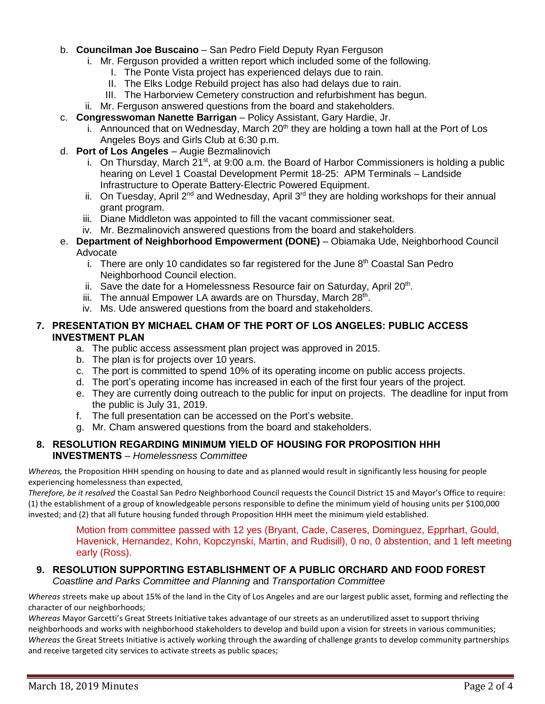## b. **Councilman Joe Buscaino** – San Pedro Field Deputy Ryan Ferguson

- i. Mr. Ferguson provided a written report which included some of the following.
	- I. The Ponte Vista project has experienced delays due to rain.
	- II. The Elks Lodge Rebuild project has also had delays due to rain.
	- III. The Harborview Cemetery construction and refurbishment has begun.
- ii. Mr. Ferguson answered questions from the board and stakeholders.
- c. **Congresswoman Nanette Barrigan** Policy Assistant, Gary Hardie, Jr.
	- i. Announced that on Wednesday, March  $20<sup>th</sup>$  they are holding a town hall at the Port of Los Angeles Boys and Girls Club at 6:30 p.m.
- d. **Port of Los Angeles** Augie Bezmalinovich
	- i. On Thursday, March  $21^{st}$ , at 9:00 a.m. the Board of Harbor Commissioners is holding a public hearing on Level 1 Coastal Development Permit 18-25: APM Terminals – Landside Infrastructure to Operate Battery-Electric Powered Equipment.
	- ii. On Tuesday, April  $2^{nd}$  and Wednesday, April  $3^{rd}$  they are holding workshops for their annual grant program.
	- iii. Diane Middleton was appointed to fill the vacant commissioner seat.
	- iv. Mr. Bezmalinovich answered questions from the board and stakeholders.
- e. **Department of Neighborhood Empowerment (DONE)** Obiamaka Ude, Neighborhood Council Advocate
	- i. There are only 10 candidates so far registered for the June  $8<sup>th</sup>$  Coastal San Pedro Neighborhood Council election.
	- ii. Save the date for a Homelessness Resource fair on Saturday, April  $20<sup>th</sup>$ .
	- iii. The annual Empower LA awards are on Thursday, March 28<sup>th</sup>.
	- iv. Ms. Ude answered questions from the board and stakeholders.

# **7. PRESENTATION BY MICHAEL CHAM OF THE PORT OF LOS ANGELES: PUBLIC ACCESS INVESTMENT PLAN**

- a. The public access assessment plan project was approved in 2015.
- b. The plan is for projects over 10 years.
- c. The port is committed to spend 10% of its operating income on public access projects.
- d. The port's operating income has increased in each of the first four years of the project.
- e. They are currently doing outreach to the public for input on projects. The deadline for input from the public is July 31, 2019.
- f. The full presentation can be accessed on the Port's website.
- g. Mr. Cham answered questions from the board and stakeholders.

# **8. RESOLUTION REGARDING MINIMUM YIELD OF HOUSING FOR PROPOSITION HHH INVESTMENTS** – *Homelessness Committee*

*Whereas,* the Proposition HHH spending on housing to date and as planned would result in significantly less housing for people experiencing homelessness than expected,

*Therefore, be it resolved* the Coastal San Pedro Neighborhood Council requests the Council District 15 and Mayor's Office to require: (1) the establishment of a group of knowledgeable persons responsible to define the minimum yield of housing units per \$100,000 invested; and (2) that all future housing funded through Proposition HHH meet the minimum yield established.

Motion from committee passed with 12 yes (Bryant, Cade, Caseres, Dominguez, Epprhart, Gould, Havenick, Hernandez, Kohn, Kopczynski, Martin, and Rudisill), 0 no, 0 abstention, and 1 left meeting early (Ross).

# **9. RESOLUTION SUPPORTING ESTABLISHMENT OF A PUBLIC ORCHARD AND FOOD FOREST**

*Coastline and Parks Committee and Planning* and *Transportation Committee*

*Whereas* streets make up about 15% of the land in the City of Los Angeles and are our largest public asset, forming and reflecting the character of our neighborhoods;

*Whereas* Mayor Garcetti's Great Streets Initiative takes advantage of our streets as an underutilized asset to support thriving neighborhoods and works with neighborhood stakeholders to develop and build upon a vision for streets in various communities; *Whereas* the Great Streets Initiative is actively working through the awarding of challenge grants to develop community partnerships and receive targeted city services to activate streets as public spaces;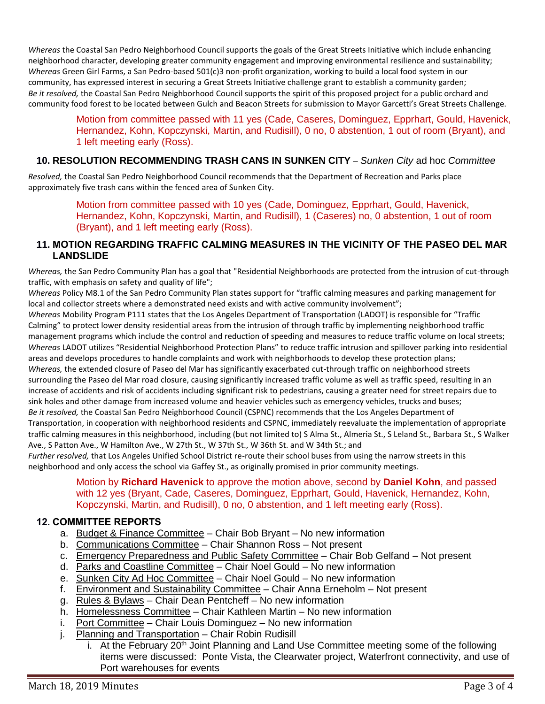*Whereas* the Coastal San Pedro Neighborhood Council supports the goals of the Great Streets Initiative which include enhancing neighborhood character, developing greater community engagement and improving environmental resilience and sustainability; *Whereas* Green Girl Farms, a San Pedro-based 501(c)3 non-profit organization, working to build a local food system in our community, has expressed interest in securing a Great Streets Initiative challenge grant to establish a community garden; *Be it resolved,* the Coastal San Pedro Neighborhood Council supports the spirit of this proposed project for a public orchard and community food forest to be located between Gulch and Beacon Streets for submission to Mayor Garcetti's Great Streets Challenge.

## Motion from committee passed with 11 yes (Cade, Caseres, Dominguez, Epprhart, Gould, Havenick, Hernandez, Kohn, Kopczynski, Martin, and Rudisill), 0 no, 0 abstention, 1 out of room (Bryant), and 1 left meeting early (Ross).

# **10. RESOLUTION RECOMMENDING TRASH CANS IN SUNKEN CITY** – *Sunken City* ad hoc *Committee*

*Resolved,* the Coastal San Pedro Neighborhood Council recommends that the Department of Recreation and Parks place approximately five trash cans within the fenced area of Sunken City.

> Motion from committee passed with 10 yes (Cade, Dominguez, Epprhart, Gould, Havenick, Hernandez, Kohn, Kopczynski, Martin, and Rudisill), 1 (Caseres) no, 0 abstention, 1 out of room (Bryant), and 1 left meeting early (Ross).

## **11. MOTION REGARDING TRAFFIC CALMING MEASURES IN THE VICINITY OF THE PASEO DEL MAR LANDSLIDE**

*Whereas,* the San Pedro Community Plan has a goal that "Residential Neighborhoods are protected from the intrusion of cut-through traffic, with emphasis on safety and quality of life";

*Whereas* Policy M8.1 of the San Pedro Community Plan states support for "traffic calming measures and parking management for local and collector streets where a demonstrated need exists and with active community involvement";

*Whereas* Mobility Program P111 states that the Los Angeles Department of Transportation (LADOT) is responsible for "Traffic Calming" to protect lower density residential areas from the intrusion of through traffic by implementing neighborhood traffic management programs which include the control and reduction of speeding and measures to reduce traffic volume on local streets; *Whereas* LADOT utilizes "Residential Neighborhood Protection Plans" to reduce traffic intrusion and spillover parking into residential areas and develops procedures to handle complaints and work with neighborhoods to develop these protection plans; *Whereas,* the extended closure of Paseo del Mar has significantly exacerbated cut-through traffic on neighborhood streets surrounding the Paseo del Mar road closure, causing significantly increased traffic volume as well as traffic speed, resulting in an increase of accidents and risk of accidents including significant risk to pedestrians, causing a greater need for street repairs due to sink holes and other damage from increased volume and heavier vehicles such as emergency vehicles, trucks and buses; *Be it resolved,* the Coastal San Pedro Neighborhood Council (CSPNC) recommends that the Los Angeles Department of Transportation, in cooperation with neighborhood residents and CSPNC, immediately reevaluate the implementation of appropriate traffic calming measures in this neighborhood, including (but not limited to) S Alma St., Almeria St., S Leland St., Barbara St., S Walker Ave., S Patton Ave., W Hamilton Ave., W 27th St., W 37th St., W 36th St. and W 34th St.; and

*Further resolved,* that Los Angeles Unified School District re-route their school buses from using the narrow streets in this neighborhood and only access the school via Gaffey St., as originally promised in prior community meetings.

#### Motion by **Richard Havenick** to approve the motion above, second by **Daniel Kohn**, and passed with 12 yes (Bryant, Cade, Caseres, Dominguez, Epprhart, Gould, Havenick, Hernandez, Kohn, Kopczynski, Martin, and Rudisill), 0 no, 0 abstention, and 1 left meeting early (Ross).

## **12. COMMITTEE REPORTS**

- a. Budget & Finance Committee Chair Bob Bryant No new information
- b. Communications Committee Chair Shannon Ross Not present
- c. Emergency Preparedness and Public Safety Committee Chair Bob Gelfand Not present
- d. Parks and Coastline Committee Chair Noel Gould No new information
- e. Sunken City Ad Hoc Committee Chair Noel Gould No new information
- f. Environment and Sustainability Committee Chair Anna Erneholm Not present
- g. Rules & Bylaws Chair Dean Pentcheff No new information
- h. Homelessness Committee Chair Kathleen Martin No new information
- i. Port Committee Chair Louis Dominguez No new information
- j. Planning and Transportation Chair Robin Rudisill
	- i. At the February 20<sup>th</sup> Joint Planning and Land Use Committee meeting some of the following items were discussed: Ponte Vista, the Clearwater project, Waterfront connectivity, and use of Port warehouses for events